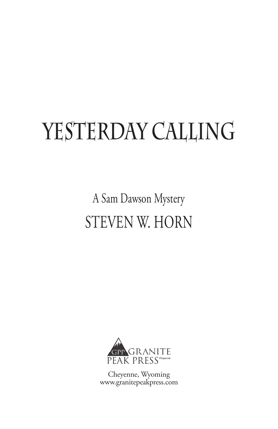## YESTERDAY CALLING

A Sam Dawson Mystery STEVEN W. HORN



Cheyenne, Wyoming www.granitepeakpress.com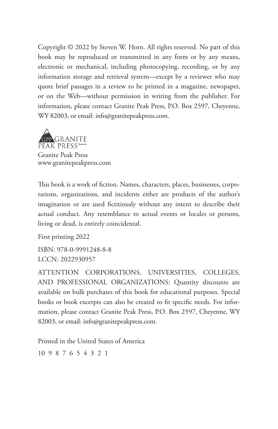Copyright © 2022 by Steven W. Horn. All rights reserved. No part of this book may be reproduced or transmitted in any form or by any means, electronic or mechanical, including photocopying, recording, or by any information storage and retrieval system—except by a reviewer who may quote brief passages in a review to be printed in a magazine, newspaper, or on the Web—without permission in writing from the publisher. For information, please contact Granite Peak Press, P.O. Box 2597, Cheyenne, WY 82003, or email: info@granitepeakpress.com.



www.granitepeakpress.com

This book is a work of fiction. Names, characters, places, businesses, corporations, organizations, and incidents either are products of the author's imagination or are used fictitiously without any intent to describe their actual conduct. Any resemblance to actual events or locales or persons, living or dead, is entirely coincidental.

First printing 2022 ISBN: 978-0-9991248-8-8 LCCN: 2022930957

ATTENTION CORPORATIONS, UNIVERSITIES, COLLEGES, AND PROFESSIONAL ORGANIZATIONS: Quantity discounts are available on bulk purchases of this book for educational purposes. Special books or book excerpts can also be created to fit specific needs. For information, please contact Granite Peak Press, P.O. Box 2597, Cheyenne, WY 82003, or email: info@granitepeakpress.com.

Printed in the United States of America

10 9 8 7 6 5 4 3 2 1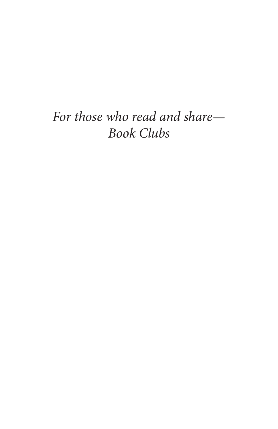## *For those who read and share— Book Clubs*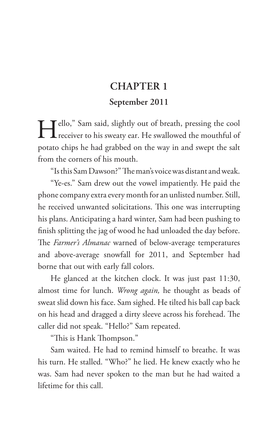## **CHAPTER 1**

## **September 2011**

Hello," Sam said, slightly out of breath, pressing the cool receiver to his sweaty ear. He swallowed the mouthful of potato chips he had grabbed on the way in and swept the salt from the corners of his mouth.

"Is this Sam Dawson?" The man's voice was distant and weak.

"Ye-es." Sam drew out the vowel impatiently. He paid the phone company extra every month for an unlisted number. Still, he received unwanted solicitations. This one was interrupting his plans. Anticipating a hard winter, Sam had been pushing to finish splitting the jag of wood he had unloaded the day before. The *Farmer's Almanac* warned of below-average temperatures and above-average snowfall for 2011, and September had borne that out with early fall colors.

He glanced at the kitchen clock. It was just past 11:30, almost time for lunch. *Wrong again,* he thought as beads of sweat slid down his face. Sam sighed. He tilted his ball cap back on his head and dragged a dirty sleeve across his forehead. The caller did not speak. "Hello?" Sam repeated.

"This is Hank Thompson."

Sam waited. He had to remind himself to breathe. It was his turn. He stalled. "Who?" he lied. He knew exactly who he was. Sam had never spoken to the man but he had waited a lifetime for this call.